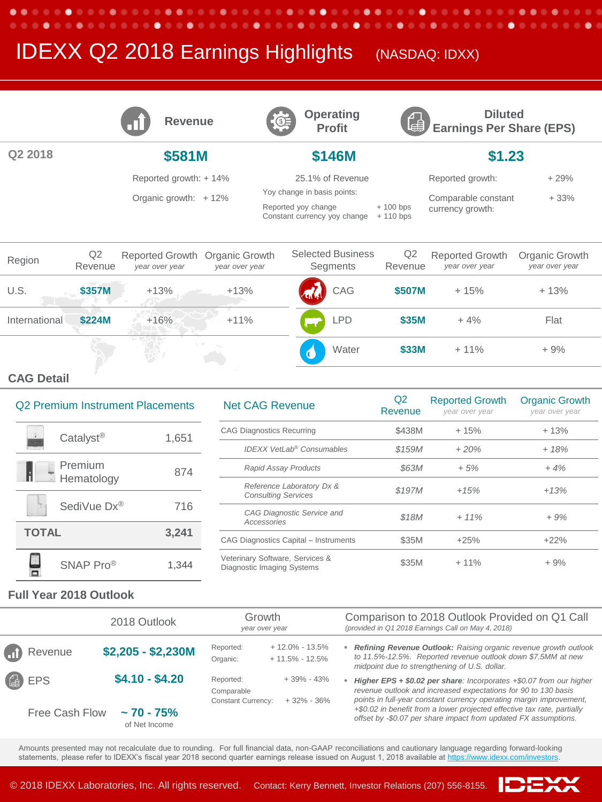# **IDEXX Q2 2018 Earnings Highlights** (NASDAQ: IDXX)

.

|               |               | <b>Revenue</b>                    |                                  | CE               | <b>Operating</b><br><b>Profit</b>                                                  | 圈                         | <b>Diluted</b><br><b>Earnings Per Share (EPS)</b> |                                  |  |
|---------------|---------------|-----------------------------------|----------------------------------|------------------|------------------------------------------------------------------------------------|---------------------------|---------------------------------------------------|----------------------------------|--|
| Q2 2018       |               | \$581M                            |                                  | \$146M           |                                                                                    |                           | \$1.23                                            |                                  |  |
|               |               | Reported growth: +14%             |                                  | 25.1% of Revenue |                                                                                    |                           | Reported growth:                                  | $+29%$                           |  |
|               |               | Organic growth: +12%              |                                  |                  | Yoy change in basis points:<br>Reported yoy change<br>Constant currency yoy change | $+100$ bps<br>$+110$ bps  | Comparable constant<br>currency growth:           | $+33%$                           |  |
| Region        | Q2<br>Revenue | Reported Growth<br>year over year | Organic Growth<br>year over year |                  | <b>Selected Business</b><br>Segments                                               | Q <sub>2</sub><br>Revenue | <b>Reported Growth</b><br>year over year          | Organic Growth<br>year over year |  |
| U.S.          | \$357M        | $+13%$                            | $+13%$                           |                  | CAG                                                                                | \$507M                    | $+15%$                                            | $+13%$                           |  |
| International | \$224M        | $+16%$                            | $+11%$                           |                  | <b>LPD</b>                                                                         | \$35M                     | $+4%$                                             | Flat                             |  |
|               |               |                                   |                                  |                  | Water                                                                              | \$33M                     | $+11%$                                            | $+9%$                            |  |

٠

∙

.  $\bullet\bullet\bullet$  ٠

∙

٠ ........

### **CAG Detail**

. . . . . . . .

٠

. . . . . . . . .

| Q2 Premium Instrument Placements |                       |       |  |
|----------------------------------|-----------------------|-------|--|
|                                  | Catalyst <sup>®</sup> | 1,651 |  |
| ÷                                | Premium<br>Hematology | 874   |  |
|                                  | SediVue Dx®           | 716   |  |
| <b>TOTAL</b>                     |                       | 3,241 |  |
|                                  | SNAP Pro®             | 1.344 |  |

| <b>Q2 Premium Instrument Placements</b> |       | <b>Net CAG Revenue</b>                                        | Q2<br>Revenue       | <b>Reported Growth</b><br>year over year | <b>Organic Growth</b><br>year over year |
|-----------------------------------------|-------|---------------------------------------------------------------|---------------------|------------------------------------------|-----------------------------------------|
| Catalyst <sup>®</sup>                   | 1,651 | <b>CAG Diagnostics Recurring</b>                              | \$438M              | $+15%$                                   | $+13%$                                  |
|                                         |       | <b>IDEXX VetLab® Consumables</b>                              | \$159M              | $+20%$                                   | $+18%$                                  |
| <b>Premium</b>                          | 874   | <b>Rapid Assay Products</b>                                   | <i><b>\$63M</b></i> | $+5%$                                    | $+4%$                                   |
| Hematology                              |       | Reference Laboratory Dx &<br><b>Consulting Services</b>       | \$197M              | $+15%$                                   | $+13%$                                  |
| SediVue Dx®                             | 716   |                                                               |                     | $+11%$                                   | $+9%$                                   |
|                                         |       | CAG Diagnostic Service and<br>Accessories                     | \$18M               |                                          |                                         |
| <b>TOTAL</b>                            | 3,241 | CAG Diagnostics Capital - Instruments                         | \$35M               | $+25%$                                   | $+22%$                                  |
| SNAP Pro <sup>®</sup>                   | 1.344 | Veterinary Software, Services &<br>Diagnostic Imaging Systems | \$35M               | $+11%$                                   | $+9%$                                   |

#### **Full Year 2018 Outlook**

|                                                        | Growth<br>2018 Outlook<br>year over year |                                                                   | Comparison to 2018 Outlook Provided on Q1 Call<br>(provided in Q1 2018 Earnings Call on May 4, 2018)                                                                                                                                                       |  |  |
|--------------------------------------------------------|------------------------------------------|-------------------------------------------------------------------|------------------------------------------------------------------------------------------------------------------------------------------------------------------------------------------------------------------------------------------------------------|--|--|
| $\left(\begin{matrix}1\\ 1\end{matrix}\right)$ Revenue | $$2,205 - $2,230M$                       | $+12.0\% - 13.5\%$<br>Reported:<br>$+11.5\% - 12.5\%$<br>Organic: | Refining Revenue Outlook: Raising organic revenue growth outlook<br>to 11.5%-12.5%. Reported revenue outlook down \$7.5MM at new<br>midpoint due to strengthening of U.S. dollar.                                                                          |  |  |
| <sup>4</sup>                                           | $$4.10 - $4.20$                          | Reported:<br>Comparable<br><b>Constant Currency:</b>              | $+39\% - 43\%$<br><b>Higher EPS + \$0.02 per share:</b> Incorporates $+$ \$0.07 from our higher<br>revenue outlook and increased expectations for 90 to 130 basis<br>points in full-year constant currency operating margin improvement,<br>$+32\% - 36\%$ |  |  |
| Free Cash Flow<br>$\sim$ 70 - 75%<br>of Net Income     |                                          |                                                                   | +\$0.02 in benefit from a lower projected effective tax rate, partially<br>offset by -\$0.07 per share impact from updated FX assumptions.                                                                                                                 |  |  |

Amounts presented may not recalculate due to rounding. For full financial data, non-GAAP reconciliations and cautionary language regarding forward-looking statements, please refer to IDEXX's fiscal year 2018 second quarter earnings release issued on August 1, 2018 available at [https://www.idexx.com/investors.](https://www.idexx.com/investors)